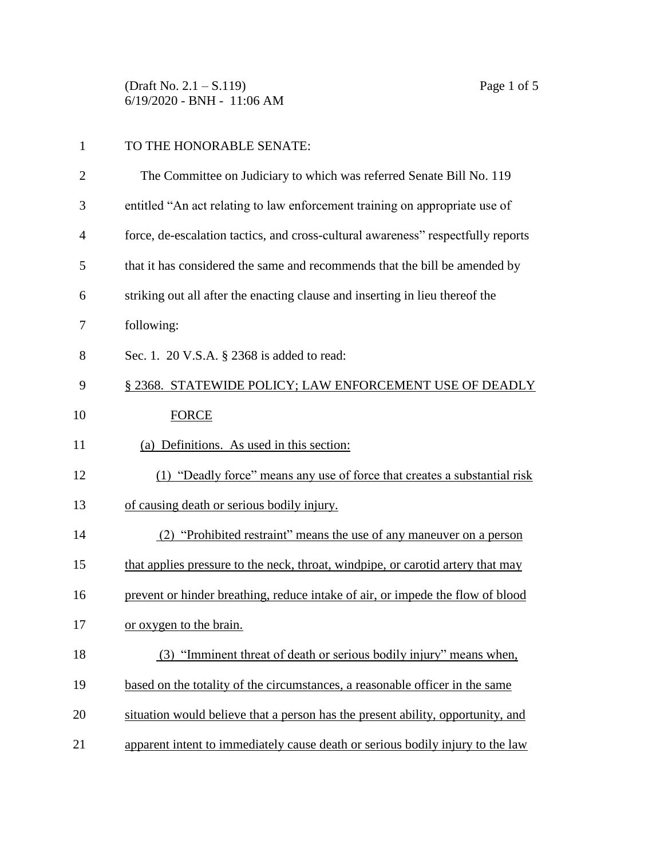(Draft No. 2.1 – S.119) Page 1 of 5 6/19/2020 - BNH - 11:06 AM

| $\mathbf{1}$   | TO THE HONORABLE SENATE:                                                         |
|----------------|----------------------------------------------------------------------------------|
| $\overline{2}$ | The Committee on Judiciary to which was referred Senate Bill No. 119             |
| 3              | entitled "An act relating to law enforcement training on appropriate use of      |
| $\overline{4}$ | force, de-escalation tactics, and cross-cultural awareness" respectfully reports |
| 5              | that it has considered the same and recommends that the bill be amended by       |
| 6              | striking out all after the enacting clause and inserting in lieu thereof the     |
| 7              | following:                                                                       |
| 8              | Sec. 1. 20 V.S.A. § 2368 is added to read:                                       |
| 9              | § 2368. STATEWIDE POLICY; LAW ENFORCEMENT USE OF DEADLY                          |
| 10             | <b>FORCE</b>                                                                     |
| 11             | (a) Definitions. As used in this section:                                        |
| 12             | (1) "Deadly force" means any use of force that creates a substantial risk        |
| 13             | of causing death or serious bodily injury.                                       |
| 14             | (2) "Prohibited restraint" means the use of any maneuver on a person             |
| 15             | that applies pressure to the neck, throat, windpipe, or carotid artery that may  |
| 16             | prevent or hinder breathing, reduce intake of air, or impede the flow of blood   |
| 17             | or oxygen to the brain.                                                          |
| 18             | (3) "Imminent threat of death or serious bodily injury" means when,              |
| 19             | based on the totality of the circumstances, a reasonable officer in the same     |
| 20             | situation would believe that a person has the present ability, opportunity, and  |
| 21             | apparent intent to immediately cause death or serious bodily injury to the law   |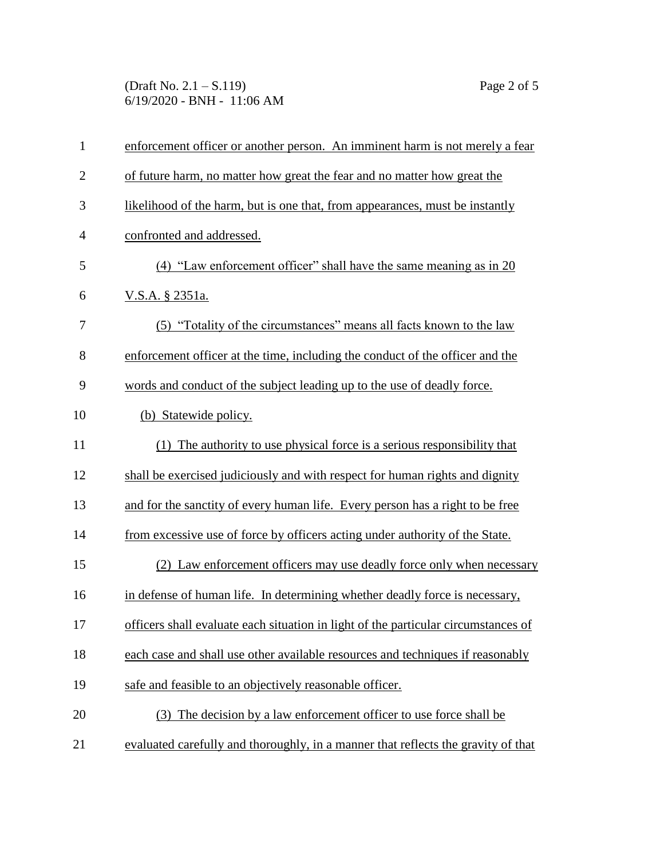(Draft No. 2.1 – S.119) Page 2 of 5 6/19/2020 - BNH - 11:06 AM

| $\mathbf{1}$   | enforcement officer or another person. An imminent harm is not merely a fear       |
|----------------|------------------------------------------------------------------------------------|
| $\overline{2}$ | of future harm, no matter how great the fear and no matter how great the           |
| 3              | likelihood of the harm, but is one that, from appearances, must be instantly       |
| $\overline{4}$ | confronted and addressed.                                                          |
| 5              | (4) "Law enforcement officer" shall have the same meaning as in 20                 |
| 6              | V.S.A. § 2351a.                                                                    |
| 7              | (5) "Totality of the circumstances" means all facts known to the law               |
| 8              | enforcement officer at the time, including the conduct of the officer and the      |
| 9              | words and conduct of the subject leading up to the use of deadly force.            |
| 10             | (b) Statewide policy.                                                              |
| 11             | (1) The authority to use physical force is a serious responsibility that           |
| 12             | shall be exercised judiciously and with respect for human rights and dignity       |
| 13             | and for the sanctity of every human life. Every person has a right to be free      |
| 14             | from excessive use of force by officers acting under authority of the State.       |
| 15             | (2) Law enforcement officers may use deadly force only when necessary              |
| 16             | in defense of human life. In determining whether deadly force is necessary,        |
| 17             | officers shall evaluate each situation in light of the particular circumstances of |
| 18             | each case and shall use other available resources and techniques if reasonably     |
| 19             | safe and feasible to an objectively reasonable officer.                            |
| 20             | (3) The decision by a law enforcement officer to use force shall be                |
| 21             | evaluated carefully and thoroughly, in a manner that reflects the gravity of that  |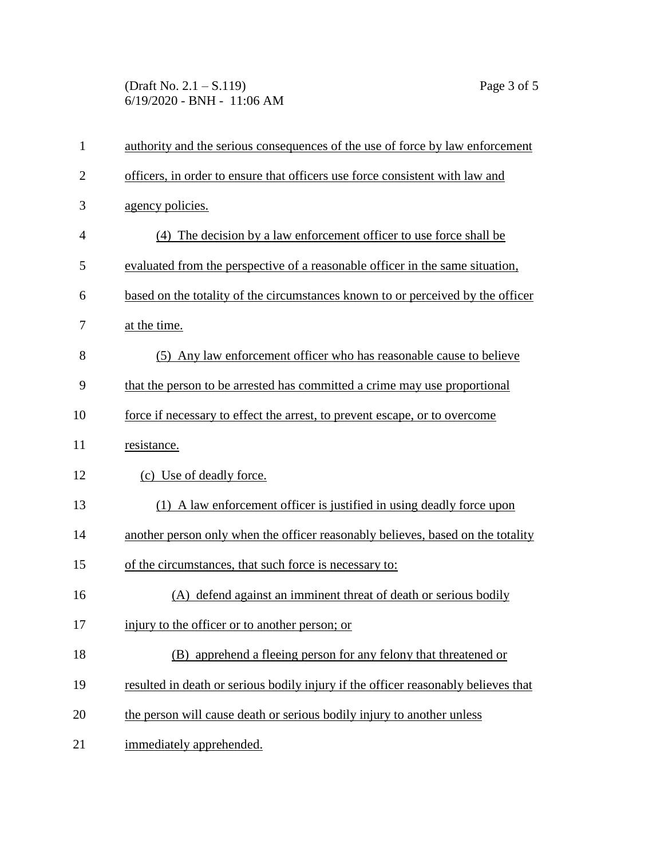(Draft No. 2.1 – S.119) Page 3 of 5 6/19/2020 - BNH - 11:06 AM

| $\mathbf{1}$   | authority and the serious consequences of the use of force by law enforcement      |
|----------------|------------------------------------------------------------------------------------|
| $\overline{2}$ | officers, in order to ensure that officers use force consistent with law and       |
| 3              | agency policies.                                                                   |
| $\overline{4}$ | (4) The decision by a law enforcement officer to use force shall be                |
| 5              | evaluated from the perspective of a reasonable officer in the same situation,      |
| 6              | based on the totality of the circumstances known to or perceived by the officer    |
| 7              | at the time.                                                                       |
| 8              | (5) Any law enforcement officer who has reasonable cause to believe                |
| 9              | that the person to be arrested has committed a crime may use proportional          |
| 10             | force if necessary to effect the arrest, to prevent escape, or to overcome         |
| 11             | resistance.                                                                        |
| 12             | (c) Use of deadly force.                                                           |
| 13             | (1) A law enforcement officer is justified in using deadly force upon              |
| 14             | another person only when the officer reasonably believes, based on the totality    |
| 15             | of the circumstances, that such force is necessary to:                             |
| 16             | (A) defend against an imminent threat of death or serious bodily                   |
| 17             | injury to the officer or to another person; or                                     |
| 18             | (B) apprehend a fleeing person for any felony that threatened or                   |
| 19             | resulted in death or serious bodily injury if the officer reasonably believes that |
| 20             | the person will cause death or serious bodily injury to another unless             |
| 21             | immediately apprehended.                                                           |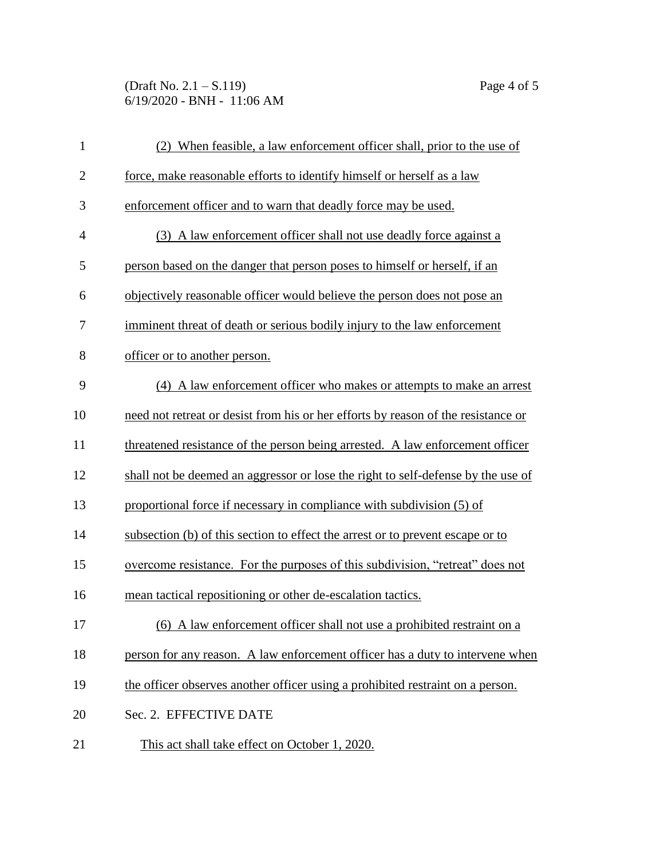(Draft No. 2.1 – S.119) Page 4 of 5 6/19/2020 - BNH - 11:06 AM

| $\mathbf{1}$   | (2) When feasible, a law enforcement officer shall, prior to the use of           |  |
|----------------|-----------------------------------------------------------------------------------|--|
| $\overline{2}$ | force, make reasonable efforts to identify himself or herself as a law            |  |
| 3              | enforcement officer and to warn that deadly force may be used.                    |  |
| $\overline{4}$ | (3) A law enforcement officer shall not use deadly force against a                |  |
| 5              | person based on the danger that person poses to himself or herself, if an         |  |
| 6              | objectively reasonable officer would believe the person does not pose an          |  |
| 7              | imminent threat of death or serious bodily injury to the law enforcement          |  |
| 8              | officer or to another person.                                                     |  |
| 9              | (4) A law enforcement officer who makes or attempts to make an arrest             |  |
| 10             | need not retreat or desist from his or her efforts by reason of the resistance or |  |
| 11             | threatened resistance of the person being arrested. A law enforcement officer     |  |
| 12             | shall not be deemed an aggressor or lose the right to self-defense by the use of  |  |
| 13             | proportional force if necessary in compliance with subdivision (5) of             |  |
| 14             | subsection (b) of this section to effect the arrest or to prevent escape or to    |  |
| 15             | overcome resistance. For the purposes of this subdivision, "retreat" does not     |  |
| 16             | mean tactical repositioning or other de-escalation tactics.                       |  |
| 17             | (6) A law enforcement officer shall not use a prohibited restraint on a           |  |
| 18             | person for any reason. A law enforcement officer has a duty to intervene when     |  |
| 19             | the officer observes another officer using a prohibited restraint on a person.    |  |
| 20             | Sec. 2. EFFECTIVE DATE                                                            |  |
| 21             | This act shall take effect on October 1, 2020.                                    |  |